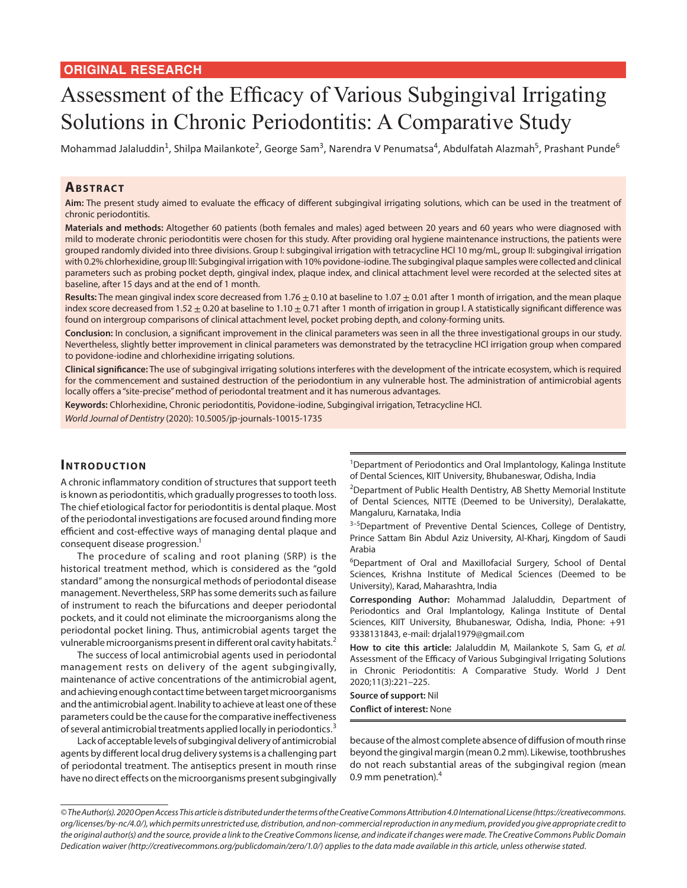# Assessment of the Efficacy of Various Subgingival Irrigating Solutions in Chronic Periodontitis: A Comparative Study

Mohammad Jalaluddin<sup>1</sup>, Shilpa Mailankote<sup>2</sup>, George Sam<sup>3</sup>, Narendra V Penumatsa<sup>4</sup>, Abdulfatah Alazmah<sup>5</sup>, Prashant Punde<sup>6</sup>

## **ABSTRACT**

**Aim:** The present study aimed to evaluate the efficacy of different subgingival irrigating solutions, which can be used in the treatment of chronic periodontitis.

**Materials and methods:** Altogether 60 patients (both females and males) aged between 20 years and 60 years who were diagnosed with mild to moderate chronic periodontitis were chosen for this study. After providing oral hygiene maintenance instructions, the patients were grouped randomly divided into three divisions. Group I: subgingival irrigation with tetracycline HCl 10 mg/mL, group II: subgingival irrigation with 0.2% chlorhexidine, group III: Subgingival irrigation with 10% povidone-iodine. The subgingival plaque samples were collected and clinical parameters such as probing pocket depth, gingival index, plaque index, and clinical attachment level were recorded at the selected sites at baseline, after 15 days and at the end of 1 month.

Results: The mean gingival index score decreased from 1.76  $\pm$  0.10 at baseline to 1.07  $\pm$  0.01 after 1 month of irrigation, and the mean plaque index score decreased from 1.52  $\pm$  0.20 at baseline to 1.10  $\pm$  0.71 after 1 month of irrigation in group I. A statistically significant difference was found on intergroup comparisons of clinical attachment level, pocket probing depth, and colony-forming units.

**Conclusion:** In conclusion, a significant improvement in the clinical parameters was seen in all the three investigational groups in our study. Nevertheless, slightly better improvement in clinical parameters was demonstrated by the tetracycline HCl irrigation group when compared to povidone-iodine and chlorhexidine irrigating solutions.

**Clinical significance:** The use of subgingival irrigating solutions interferes with the development of the intricate ecosystem, which is required for the commencement and sustained destruction of the periodontium in any vulnerable host. The administration of antimicrobial agents locally offers a "site-precise" method of periodontal treatment and it has numerous advantages.

**Keywords:** Chlorhexidine, Chronic periodontitis, Povidone-iodine, Subgingival irrigation, Tetracycline HCl.

*World Journal of Dentistry* (2020): 10.5005/jp-journals-10015-1735

## **INTRODUCTION**

A chronic inflammatory condition of structures that support teeth is known as periodontitis, which gradually progresses to tooth loss. The chief etiological factor for periodontitis is dental plaque. Most of the periodontal investigations are focused around finding more efficient and cost-effective ways of managing dental plaque and consequent disease progression.<sup>1</sup>

The procedure of scaling and root planing (SRP) is the historical treatment method, which is considered as the "gold standard" among the nonsurgical methods of periodontal disease management. Nevertheless, SRP has some demerits such as failure of instrument to reach the bifurcations and deeper periodontal pockets, and it could not eliminate the microorganisms along the periodontal pocket lining. Thus, antimicrobial agents target the vulnerable microorganisms present in different oral cavity habitats.<sup>2</sup>

The success of local antimicrobial agents used in periodontal management rests on delivery of the agent subgingivally, maintenance of active concentrations of the antimicrobial agent, and achieving enough contact time between target microorganisms and the antimicrobial agent. Inability to achieve at least one of these parameters could be the cause for the comparative ineffectiveness of several antimicrobial treatments applied locally in periodontics.<sup>3</sup>

Lack of acceptable levels of subgingival delivery of antimicrobial agents by different local drug delivery systems is a challenging part of periodontal treatment. The antiseptics present in mouth rinse have no direct effects on the microorganisms present subgingivally

<sup>1</sup>Department of Periodontics and Oral Implantology, Kalinga Institute of Dental Sciences, KIIT University, Bhubaneswar, Odisha, India

<sup>2</sup>Department of Public Health Dentistry, AB Shetty Memorial Institute of Dental Sciences, NITTE (Deemed to be University), Deralakatte, Mangaluru, Karnataka, India

<sup>3-5</sup>Department of Preventive Dental Sciences, College of Dentistry, Prince Sattam Bin Abdul Aziz University, Al-Kharj, Kingdom of Saudi Arabia

<sup>6</sup>Department of Oral and Maxillofacial Surgery, School of Dental Sciences, Krishna Institute of Medical Sciences (Deemed to be University), Karad, Maharashtra, India

**Corresponding Author:** Mohammad Jalaluddin, Department of Periodontics and Oral Implantology, Kalinga Institute of Dental Sciences, KIIT University, Bhubaneswar, Odisha, India, Phone: +91 9338131843, e-mail: drjalal1979@gmail.com

**How to cite this article:** Jalaluddin M, Mailankote S, Sam G, *et al.* Assessment of the Efficacy of Various Subgingival Irrigating Solutions in Chronic Periodontitis: A Comparative Study. World J Dent 2020;11(3):221–225.

**Source of support:** Nil **Conflict of interest:** None

because of the almost complete absence of diffusion of mouth rinse beyond the gingival margin (mean 0.2 mm). Likewise, toothbrushes do not reach substantial areas of the subgingival region (mean 0.9 mm penetration).<sup>4</sup>

*<sup>©</sup> The Author(s). 2020 Open Access This article is distributed under the terms of the Creative Commons Attribution 4.0 International License (https://creativecommons. org/licenses/by-nc/4.0/), which permits unrestricted use, distribution, and non-commercial reproduction in any medium, provided you give appropriate credit to the original author(s) and the source, provide a link to the Creative Commons license, and indicate if changes were made. The Creative Commons Public Domain Dedication waiver (http://creativecommons.org/publicdomain/zero/1.0/) applies to the data made available in this article, unless otherwise stated.*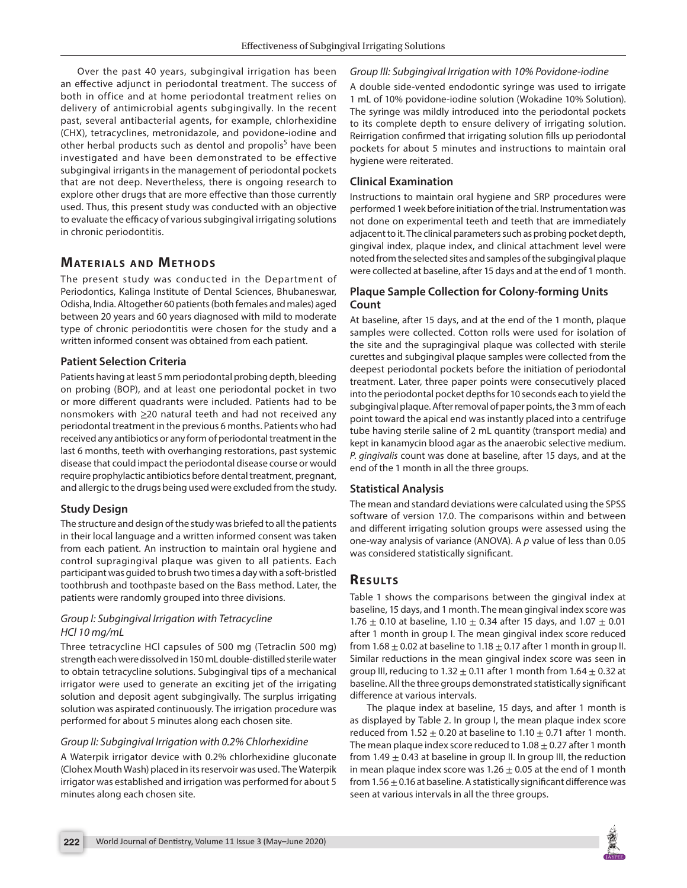Over the past 40 years, subgingival irrigation has been an effective adjunct in periodontal treatment. The success of both in office and at home periodontal treatment relies on delivery of antimicrobial agents subgingivally. In the recent past, several antibacterial agents, for example, chlorhexidine (CHX), tetracyclines, metronidazole, and povidone-iodine and other herbal products such as dentol and propolis<sup>5</sup> have been investigated and have been demonstrated to be effective subgingival irrigants in the management of periodontal pockets that are not deep. Nevertheless, there is ongoing research to explore other drugs that are more effective than those currently used. Thus, this present study was conducted with an objective to evaluate the efficacy of various subgingival irrigating solutions in chronic periodontitis.

## **MATERIALS AND METHODS**

The present study was conducted in the Department of Periodontics, Kalinga Institute of Dental Sciences, Bhubaneswar, Odisha, India. Altogether 60 patients (both females and males) aged between 20 years and 60 years diagnosed with mild to moderate type of chronic periodontitis were chosen for the study and a written informed consent was obtained from each patient.

#### **Patient Selection Criteria**

Patients having at least 5 mm periodontal probing depth, bleeding on probing (BOP), and at least one periodontal pocket in two or more different quadrants were included. Patients had to be nonsmokers with ≥20 natural teeth and had not received any periodontal treatment in the previous 6 months. Patients who had received any antibiotics or any form of periodontal treatment in the last 6 months, teeth with overhanging restorations, past systemic disease that could impact the periodontal disease course or would require prophylactic antibiotics before dental treatment, pregnant, and allergic to the drugs being used were excluded from the study.

## **Study Design**

The structure and design of the study was briefed to all the patients in their local language and a written informed consent was taken from each patient. An instruction to maintain oral hygiene and control supragingival plaque was given to all patients. Each participant was guided to brush two times a day with a soft-bristled toothbrush and toothpaste based on the Bass method. Later, the patients were randomly grouped into three divisions.

#### *Group I: Subgingival Irrigation with Tetracycline HCl 10 mg/mL*

Three tetracycline HCl capsules of 500 mg (Tetraclin 500 mg) strength each were dissolved in 150 mL double-distilled sterile water to obtain tetracycline solutions. Subgingival tips of a mechanical irrigator were used to generate an exciting jet of the irrigating solution and deposit agent subgingivally. The surplus irrigating solution was aspirated continuously. The irrigation procedure was performed for about 5 minutes along each chosen site.

#### *Group II: Subgingival Irrigation with 0.2% Chlorhexidine*

A Waterpik irrigator device with 0.2% chlorhexidine gluconate (Clohex Mouth Wash) placed in its reservoir was used. The Waterpik irrigator was established and irrigation was performed for about 5 minutes along each chosen site.

#### *Group III: Subgingival Irrigation with 10% Povidone-iodine*

A double side-vented endodontic syringe was used to irrigate 1 mL of 10% povidone-iodine solution (Wokadine 10% Solution). The syringe was mildly introduced into the periodontal pockets to its complete depth to ensure delivery of irrigating solution. Reirrigation confirmed that irrigating solution fills up periodontal pockets for about 5 minutes and instructions to maintain oral hygiene were reiterated.

#### **Clinical Examination**

Instructions to maintain oral hygiene and SRP procedures were performed 1 week before initiation of the trial. Instrumentation was not done on experimental teeth and teeth that are immediately adjacent to it. The clinical parameters such as probing pocket depth, gingival index, plaque index, and clinical attachment level were noted from the selected sites and samples of the subgingival plaque were collected at baseline, after 15 days and at the end of 1 month.

### **Plaque Sample Collection for Colony-forming Units Count**

At baseline, after 15 days, and at the end of the 1 month, plaque samples were collected. Cotton rolls were used for isolation of the site and the supragingival plaque was collected with sterile curettes and subgingival plaque samples were collected from the deepest periodontal pockets before the initiation of periodontal treatment. Later, three paper points were consecutively placed into the periodontal pocket depths for 10 seconds each to yield the subgingival plaque. After removal of paper points, the 3 mm of each point toward the apical end was instantly placed into a centrifuge tube having sterile saline of 2 mL quantity (transport media) and kept in kanamycin blood agar as the anaerobic selective medium. *P. gingivalis* count was done at baseline, after 15 days, and at the end of the 1 month in all the three groups.

#### **Statistical Analysis**

The mean and standard deviations were calculated using the SPSS software of version 17.0. The comparisons within and between and different irrigating solution groups were assessed using the one-way analysis of variance (ANOVA). A *p* value of less than 0.05 was considered statistically significant.

## **RESULTS**

Table 1 shows the comparisons between the gingival index at baseline, 15 days, and 1 month. The mean gingival index score was 1.76  $\pm$  0.10 at baseline, 1.10  $\pm$  0.34 after 15 days, and 1.07  $\pm$  0.01 after 1 month in group I. The mean gingival index score reduced from 1.68  $\pm$  0.02 at baseline to 1.18  $\pm$  0.17 after 1 month in group II. Similar reductions in the mean gingival index score was seen in group III, reducing to  $1.32 \pm 0.11$  after 1 month from  $1.64 \pm 0.32$  at baseline. All the three groups demonstrated statistically significant difference at various intervals.

The plaque index at baseline, 15 days, and after 1 month is as displayed by Table 2. In group I, the mean plaque index score reduced from  $1.52 \pm 0.20$  at baseline to  $1.10 \pm 0.71$  after 1 month. The mean plaque index score reduced to  $1.08 \pm 0.27$  after 1 month from 1.49  $\pm$  0.43 at baseline in group II. In group III, the reduction in mean plaque index score was  $1.26 \pm 0.05$  at the end of 1 month from  $1.56 \pm 0.16$  at baseline. A statistically significant difference was seen at various intervals in all the three groups.

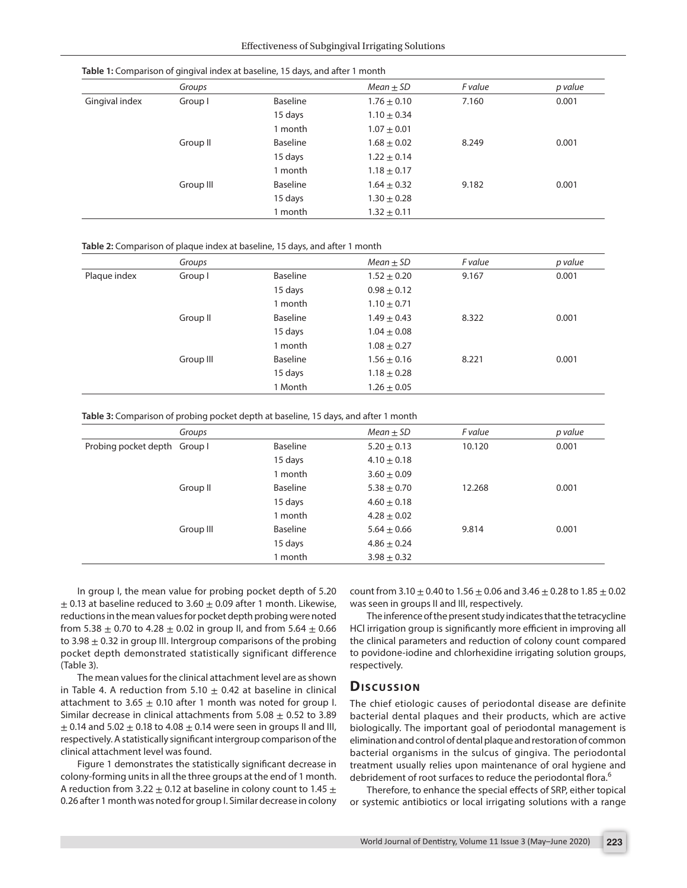|                | Groups    |                 | Mean $\pm$ SD   | F value | p value |
|----------------|-----------|-----------------|-----------------|---------|---------|
| Gingival index | Group I   | Baseline        | $1.76 \pm 0.10$ | 7.160   | 0.001   |
|                |           | 15 days         | $1.10 \pm 0.34$ |         |         |
|                |           | 1 month         | $1.07 \pm 0.01$ |         |         |
|                | Group II  | Baseline        | $1.68 \pm 0.02$ | 8.249   | 0.001   |
|                |           | 15 days         | $1.22 \pm 0.14$ |         |         |
|                |           | 1 month         | $1.18 \pm 0.17$ |         |         |
|                | Group III | <b>Baseline</b> | $1.64 \pm 0.32$ | 9.182   | 0.001   |
|                |           | 15 days         | $1.30 \pm 0.28$ |         |         |
|                |           | 1 month         | $1.32 \pm 0.11$ |         |         |

**Table 1:** Comparison of gingival index at baseline, 15 days, and after 1 month

#### **Table 2:** Comparison of plaque index at baseline, 15 days, and after 1 month

|              | Groups    |          | $Mean \pm SD$   | F value | p value |
|--------------|-----------|----------|-----------------|---------|---------|
| Plaque index | Group I   | Baseline | $1.52 \pm 0.20$ | 9.167   | 0.001   |
|              |           | 15 days  | $0.98 \pm 0.12$ |         |         |
|              |           | 1 month  | $1.10 \pm 0.71$ |         |         |
|              | Group II  | Baseline | $1.49 \pm 0.43$ | 8.322   | 0.001   |
|              |           | 15 days  | $1.04 \pm 0.08$ |         |         |
|              |           | 1 month  | $1.08 \pm 0.27$ |         |         |
|              | Group III | Baseline | $1.56 \pm 0.16$ | 8.221   | 0.001   |
|              |           | 15 days  | $1.18 \pm 0.28$ |         |         |
|              |           | 1 Month  | $1.26 \pm 0.05$ |         |         |
|              |           |          |                 |         |         |

**Table 3:** Comparison of probing pocket depth at baseline, 15 days, and after 1 month

|                              | Groups    |          | Mean $\pm$ SD   | F value | p value |
|------------------------------|-----------|----------|-----------------|---------|---------|
| Probing pocket depth Group I |           | Baseline | $5.20 \pm 0.13$ | 10.120  | 0.001   |
|                              |           | 15 days  | $4.10 \pm 0.18$ |         |         |
|                              |           | 1 month  | $3.60 \pm 0.09$ |         |         |
|                              | Group II  | Baseline | $5.38 \pm 0.70$ | 12.268  | 0.001   |
|                              |           | 15 days  | $4.60 \pm 0.18$ |         |         |
|                              |           | 1 month  | $4.28 \pm 0.02$ |         |         |
|                              | Group III | Baseline | $5.64 \pm 0.66$ | 9.814   | 0.001   |
|                              |           | 15 days  | $4.86 \pm 0.24$ |         |         |
|                              |           | 1 month  | $3.98 \pm 0.32$ |         |         |

In group I, the mean value for probing pocket depth of 5.20  $\pm$  0.13 at baseline reduced to 3.60  $\pm$  0.09 after 1 month. Likewise, reductions in the mean values for pocket depth probing were noted from 5.38  $\pm$  0.70 to 4.28  $\pm$  0.02 in group II, and from 5.64  $\pm$  0.66 to 3.98  $\pm$  0.32 in group III. Intergroup comparisons of the probing pocket depth demonstrated statistically significant difference (Table 3).

The mean values for the clinical attachment level are as shown in Table 4. A reduction from 5.10  $\pm$  0.42 at baseline in clinical attachment to 3.65  $\pm$  0.10 after 1 month was noted for group I. Similar decrease in clinical attachments from  $5.08 \pm 0.52$  to 3.89  $\pm$  0.14 and 5.02  $\pm$  0.18 to 4.08  $\pm$  0.14 were seen in groups II and III, respectively. A statistically significant intergroup comparison of the clinical attachment level was found.

Figure 1 demonstrates the statistically significant decrease in colony-forming units in all the three groups at the end of 1 month. A reduction from 3.22  $\pm$  0.12 at baseline in colony count to 1.45  $\pm$ 0.26 after 1 month was noted for group I. Similar decrease in colony

count from 3.10  $\pm$  0.40 to 1.56  $\pm$  0.06 and 3.46  $\pm$  0.28 to 1.85  $\pm$  0.02 was seen in groups II and III, respectively.

The inference of the present study indicates that the tetracycline HCl irrigation group is significantly more efficient in improving all the clinical parameters and reduction of colony count compared to povidone-iodine and chlorhexidine irrigating solution groups, respectively.

#### **Discussion**

The chief etiologic causes of periodontal disease are definite bacterial dental plaques and their products, which are active biologically. The important goal of periodontal management is elimination and control of dental plaque and restoration of common bacterial organisms in the sulcus of gingiva. The periodontal treatment usually relies upon maintenance of oral hygiene and debridement of root surfaces to reduce the periodontal flora.<sup>6</sup>

Therefore, to enhance the special effects of SRP, either topical or systemic antibiotics or local irrigating solutions with a range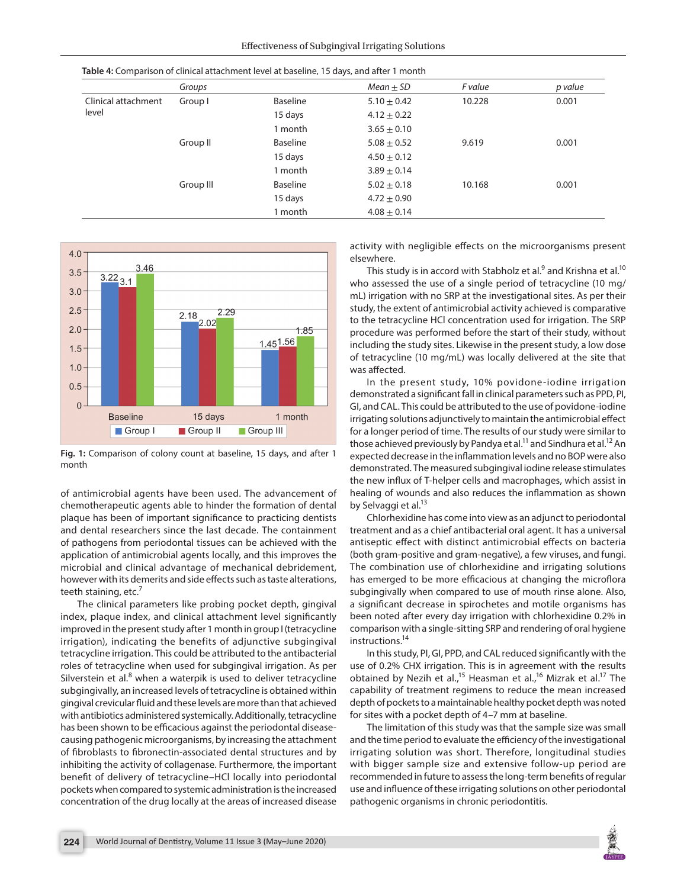|                              | Groups    |                 | Mean $\pm$ SD   | F value | p value |
|------------------------------|-----------|-----------------|-----------------|---------|---------|
| Clinical attachment<br>level | Group I   | Baseline        | $5.10 \pm 0.42$ | 10.228  | 0.001   |
|                              |           | 15 days         | $4.12 \pm 0.22$ |         |         |
|                              |           | 1 month         | $3.65 \pm 0.10$ |         |         |
|                              | Group II  | <b>Baseline</b> | $5.08 \pm 0.52$ | 9.619   | 0.001   |
|                              |           | 15 days         | $4.50 \pm 0.12$ |         |         |
|                              |           | 1 month         | $3.89 \pm 0.14$ |         |         |
|                              | Group III | Baseline        | $5.02 \pm 0.18$ | 10.168  | 0.001   |
|                              |           | 15 days         | $4.72 + 0.90$   |         |         |
|                              |           | 1 month         | $4.08 \pm 0.14$ |         |         |



**Fig. 1:** Comparison of colony count at baseline, 15 days, and after 1 month

of antimicrobial agents have been used. The advancement of chemotherapeutic agents able to hinder the formation of dental plaque has been of important significance to practicing dentists and dental researchers since the last decade. The containment of pathogens from periodontal tissues can be achieved with the application of antimicrobial agents locally, and this improves the microbial and clinical advantage of mechanical debridement, however with its demerits and side effects such as taste alterations, teeth staining, etc.<sup>7</sup>

The clinical parameters like probing pocket depth, gingival index, plaque index, and clinical attachment level significantly improved in the present study after 1 month in group I (tetracycline irrigation), indicating the benefits of adjunctive subgingival tetracycline irrigation. This could be attributed to the antibacterial roles of tetracycline when used for subgingival irrigation. As per Silverstein et al. $8$  when a waterpik is used to deliver tetracycline subgingivally, an increased levels of tetracycline is obtained within gingival crevicular fluid and these levels are more than that achieved with antibiotics administered systemically. Additionally, tetracycline has been shown to be efficacious against the periodontal diseasecausing pathogenic microorganisms, by increasing the attachment of fibroblasts to fibronectin-associated dental structures and by inhibiting the activity of collagenase. Furthermore, the important benefit of delivery of tetracycline–HCl locally into periodontal pockets when compared to systemic administration is the increased concentration of the drug locally at the areas of increased disease

activity with negligible effects on the microorganisms present elsewhere.

This study is in accord with Stabholz et al. $^9$  and Krishna et al. $^{10}$ who assessed the use of a single period of tetracycline (10 mg/ mL) irrigation with no SRP at the investigational sites. As per their study, the extent of antimicrobial activity achieved is comparative to the tetracycline HCl concentration used for irrigation. The SRP procedure was performed before the start of their study, without including the study sites. Likewise in the present study, a low dose of tetracycline (10 mg/mL) was locally delivered at the site that was affected.

In the present study, 10% povidone-iodine irrigation demonstrated a significant fall in clinical parameters such as PPD, PI, GI, and CAL. This could be attributed to the use of povidone-iodine irrigating solutions adjunctively to maintain the antimicrobial effect for a longer period of time. The results of our study were similar to those achieved previously by Pandya et al.<sup>11</sup> and Sindhura et al.<sup>12</sup> An expected decrease in the inflammation levels and no BOP were also demonstrated. The measured subgingival iodine release stimulates the new influx of T-helper cells and macrophages, which assist in healing of wounds and also reduces the inflammation as shown by Selvaggi et al.<sup>13</sup>

Chlorhexidine has come into view as an adjunct to periodontal treatment and as a chief antibacterial oral agent. It has a universal antiseptic effect with distinct antimicrobial effects on bacteria (both gram-positive and gram-negative), a few viruses, and fungi. The combination use of chlorhexidine and irrigating solutions has emerged to be more efficacious at changing the microflora subgingivally when compared to use of mouth rinse alone. Also, a significant decrease in spirochetes and motile organisms has been noted after every day irrigation with chlorhexidine 0.2% in comparison with a single-sitting SRP and rendering of oral hygiene instructions.14

In this study, PI, GI, PPD, and CAL reduced significantly with the use of 0.2% CHX irrigation. This is in agreement with the results obtained by Nezih et al.,<sup>15</sup> Heasman et al.,<sup>16</sup> Mizrak et al.<sup>17</sup> The capability of treatment regimens to reduce the mean increased depth of pockets to a maintainable healthy pocket depth was noted for sites with a pocket depth of 4–7 mm at baseline.

The limitation of this study was that the sample size was small and the time period to evaluate the efficiency of the investigational irrigating solution was short. Therefore, longitudinal studies with bigger sample size and extensive follow-up period are recommended in future to assess the long-term benefits of regular use and influence of these irrigating solutions on other periodontal pathogenic organisms in chronic periodontitis.